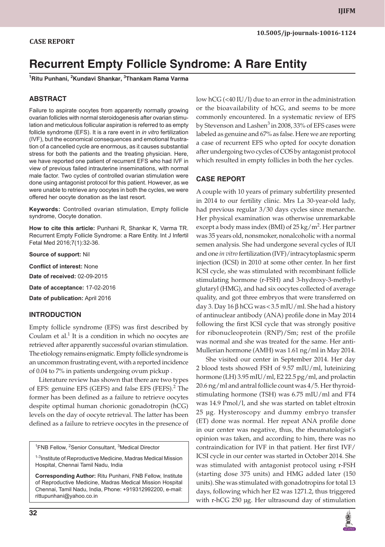# **Recurrent Empty Follicle Syndrome: A Rare Entity**

**<sup>1</sup>Ritu Punhani, <sup>2</sup>Kundavi Shankar, <sup>3</sup>Thankam Rama Varma**

## **ABSTRACT**

Failure to aspirate oocytes from apparently normally growing ovarian follicles with normal steroidogenesis after ovarian stimulation and meticulous follicular aspiration is referred to as empty follicle syndrome (EFS). It is a rare event in *in vitro* fertilization (IVF), but the economical consequences and emotional frustration of a cancelled cycle are enormous, as it causes substantial stress for both the patients and the treating physician. Here, we have reported one patient of recurrent EFS who had IVF in view of previous failed intrauterine inseminations, with normal male factor. Two cycles of controlled ovarian stimulation were done using antagonist protocol for this patient. However, as we were unable to retrieve any oocytes in both the cycles, we were offered her oocyte donation as the last resort.

**Keywords:** Controlled ovarian stimulation, Empty follicle syndrome, Oocyte donation.

**How to cite this article:** Punhani R, Shankar K, Varma TR. Recurrent Empty Follicle Syndrome: a Rare Entity. Int J Infertil Fetal Med 2016;7(1):32-36.

**Source of support:** Nil

**Conflict of interest:** None

**Date of received:** 02-09-2015

**Date of acceptance:** 17-02-2016

**Date of publication:** April 2016

#### **INTRODUCTION**

Empty follicle syndrome (EFS) was first described by Coulam et al. $<sup>1</sup>$  It is a condition in which no oocytes are</sup> retrieved after apparently successful ovarian stimulation. The etiology remains enigmatic. Empty follicle syndrome is an uncommon frustrating event, with a reported incidence of 0.04 to 7% in patients undergoing ovum pickup .

Literature review has shown that there are two types of EFS: genuine EFS (GEFS) and false EFS (FEFS).<sup>2</sup> The former has been defined as a failure to retrieve oocytes despite optimal human chorionic gonadotropin (hCG) levels on the day of oocyte retrieval. The latter has been defined as a failure to retrieve oocytes in the presence of

<sup>1</sup>FNB Fellow, <sup>2</sup>Senior Consultant, <sup>3</sup>Medical Director

<sup>1-3</sup>Institute of Reproductive Medicine, Madras Medical Mission Hospital, Chennai Tamil Nadu, India

**Corresponding Author:** Ritu Punhani, FNB Fellow, Institute of Reproductive Medicine, Madras Medical Mission Hospital Chennai, Tamil Nadu, India, Phone: +919312992200, e-mail: rittupunhani@yahoo.co.in

low hCG (<40 IU/l) due to an error in the administration or the bioavailability of hCG, and seems to be more commonly encountered. In a systematic review of EFS by Stevenson and Lashen<sup>3</sup> in 2008, 33% of EFS cases were labeled as genuine and 67% as false. Here we are reporting a case of recurrent EFS who opted for oocyte donation after undergoing two cycles of COS by antagonist protocol which resulted in empty follicles in both the her cycles.

## **CASE REPORT**

A couple with 10 years of primary subfertility presented in 2014 to our fertility clinic. Mrs La 30-year-old lady, had previous regular 3/30 days cycles since menarche. Her physical examination was otherwise unremarkable except a body mass index (BMI) of  $25\,\mathrm{kg/m^2}$ . Her partner was 35 years old, nonsmoker, nonalcoholic with a normal semen analysis. She had undergone several cycles of IUI and one *in vitro* fertilization (IVF)/intracytoplasmic sperm injection (ICSI) in 2010 at some other center. In her first ICSI cycle, she was stimulated with recombinant follicle stimulating hormone (r-FSH) and 3-hydroxy-3-methylglutaryl (HMG), and had six oocytes collected of average quality, and got three embryos that were transferred on day 3. Day 16 β hCG was < 3.5 mIU/ml. She had a history of antinuclear antibody (ANA) profile done in May 2014 following the first ICSI cycle that was strongly positive for ribonucleoprotein (RNP)/Sm; rest of the profile was normal and she was treated for the same. Her anti-Mullerian hormone (AMH) was 1.61 ng/ml in May 2014.

She visited our center in September 2014. Her day 2 blood tests showed FSH of 9.57 mIU/ml, luteinizing hormone (LH) 3.95 mIU/ml, E2 22.5 pg/ml, and prolactin 20.6 ng/ml and antral follicle count was 4/5. Her thyroidstimulating hormone (TSH) was 6.75 mIU/ml and FT4 was 14.9 Pmol/l, and she was started on tablet eltroxin 25 µg. Hysteroscopy and dummy embryo transfer (ET) done was normal. Her repeat ANA profile done in our center was negative, thus, the rheumatologist's opinion was taken, and according to him, there was no contraindication for IVF in that patient. Her first IVF/ ICSI cycle in our center was started in October 2014. She was stimulated with antagonist protocol using r-FSH (starting dose 375 units) and HMG added later (150 units). She was stimulated with gonadotropins for total 13 days, following which her E2 was 1271.2, thus triggered with r-hCG 250 µg. Her ultrasound day of stimulation

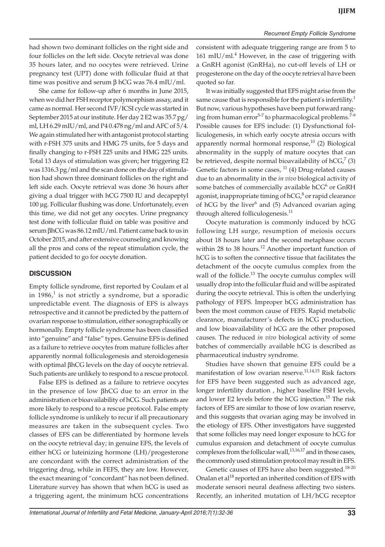had shown two dominant follicles on the right side and four follicles on the left side. Oocyte retrieval was done 35 hours later, and no oocytes were retrieved. Urine pregnancy test (UPT) done with follicular fluid at that time was positive and serum  $β$  hCG was 76.4 mIU/ml.

She came for follow-up after 6 months in June 2015, when we did her FSH receptor polymorphism assay, and it came as normal. Her second IVF/ICSI cycle was started in September 2015 at our institute. Her day 2 E2 was 35.7 pg/ ml, LH 6.29 mIU/ml, and P4 0.478 ng/ml and AFC of 5/4. We again stimulated her with antagonist protocol starting with r-FSH 375 units and HMG 75 units, for 5 days and finally changing to r-FSH 225 units and HMG 225 units. Total 13 days of stimulation was given; her triggering E2 was 1316.3 pg/ml and the scan done on the day of stimulation had shown three dominant follicles on the right and left side each. Oocyte retrieval was done 36 hours after giving a dual trigger with hCG 7500 IU and decapeptyl 100 µg. Follicular flushing was done. Unfortunately, even this time, we did not get any oocytes. Urine pregnancy test done with follicular fluid on table was positive and serum βhCG was 86.12 mIU/ml. Patient came back to us in October 2015, and after extensive counseling and knowing all the pros and cons of the repeat stimulation cycle, the patient decided to go for oocyte donation.

## **DISCUSSION**

Empty follicle syndrome, first reported by Coulam et al in 1986, $^1$  is not strictly a syndrome, but a sporadic unpredictable event. The diagnosis of EFS is always retrospective and it cannot be predicted by the pattern of ovarian response to stimulation, either sonographically or hormonally. Empty follicle syndrome has been classified into "genuine" and "false" types. Genuine EFS is defined as a failure to retrieve oocytes from mature follicles after apparently normal folliculogenesis and steroidogenesis with optimal βhCG levels on the day of oocyte retrieval. Such patients are unlikely to respond to a rescue protocol.

False EFS is defined as a failure to retrieve oocytes in the presence of low βhCG due to an error in the administration or bioavailability of hCG. Such patients are more likely to respond to a rescue protocol. False empty follicle syndrome is unlikely to recur if all precautionary measures are taken in the subsequent cycles. Two classes of EFS can be differentiated by hormone levels on the oocyte retrieval day; in genuine EFS, the levels of either hCG or luteinizing hormone (LH)/progesterone are concordant with the correct administration of the triggering drug, while in FEFS, they are low. However, the exact meaning of "concordant" has not been defined. Literature survey has shown that when hCG is used as a triggering agent, the minimum hCG concentrations

consistent with adequate triggering range are from 5 to 161 mIU/ml.<sup>4</sup> However, in the case of triggering with a GnRH agonist (GnRHa), no cut-off levels of LH or progesterone on the day of the oocyte retrieval have been quoted so far.

It was initially suggested that EFS might arise from the same cause that is responsible for the patient's infertility.<sup>1</sup> But now, various hypotheses have been put forward ranging from human error<sup>5-7</sup> to pharmacological problems.<sup>7-9</sup> Possible causes for EFS include: (1) Dysfunctional folliculogenesis, in which early oocyte atresia occurs with apparently normal hormonal response, $^{10}$  (2) Biological abnormality in the supply of mature oocytes that can be retrieved, despite normal bioavailability of  $hCG<sup>7</sup> (3)$ Genetic factors in some cases,  $11$  (4) Drug-related causes due to an abnormality in the *in vivo* biological activity of some batches of commercially available hCG $6$  or GnRH agonist, inappropriate timing of hCG, $^8$  or rapid clearance of hCG by the liver<sup>6</sup> and (5) Advanced ovarian aging through altered folliculogenesis.<sup>11</sup>

Oocyte maturation is commonly induced by hCG following LH surge, resumption of meiosis occurs about 18 hours later and the second metaphase occurs within 28 to 38 hours. $12$  Another important function of hCG is to soften the connective tissue that facilitates the detachment of the oocyte cumulus complex from the wall of the follicle.<sup>13</sup> The oocyte cumulus complex will usually drop into the follicular fluid and will be aspirated during the oocyte retrieval. This is often the underlying pathology of FEFS. Improper hCG administration has been the most common cause of FEFS. Rapid metabolic clearance, manufacturer's defects in hCG production, and low bioavailability of hCG are the other proposed causes. The reduced *in vivo* biological activity of some batches of commercially available hCG is described as pharmaceutical industry syndrome.

Studies have shown that genuine EFS could be a manifestation of low ovarian reserve.<sup>11,14,15</sup> Risk factors for EFS have been suggested such as advanced age, longer infertility duration , higher baseline FSH levels, and lower E2 levels before the hCG injection.<sup>15</sup> The risk factors of EFS are similar to those of low ovarian reserve, and this suggests that ovarian aging may be involved in the etiology of EFS. Other investigators have suggested that some follicles may need longer exposure to hCG for cumulus expansion and detachment of oocyte cumulus complexes from the follicular wall,<sup>13,16,17</sup> and in those cases, the commonly used stimulation protocol may result in EFS.

Genetic causes of EFS have also been suggested.<sup>18-20</sup> Onalan et al<sup>18</sup> reported an inherited condition of EFS with moderate sensori neural deafness affecting two sisters. Recently, an inherited mutation of LH/hCG receptor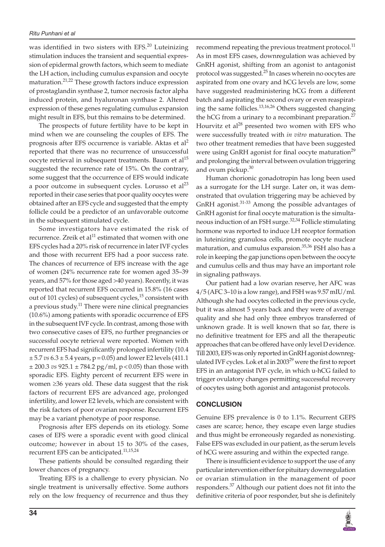was identified in two sisters with EFS.<sup>20</sup> Luteinizing stimulation induces the transient and sequential expression of epidermal growth factors, which seem to mediate the LH action, including cumulus expansion and oocyte maturation.<sup>21,22</sup> These growth factors induce expression of prostaglandin synthase 2, tumor necrosis factor alpha induced protein, and hyaluronan synthase 2. Altered expression of these genes regulating cumulus expansion might result in EFS, but this remains to be determined.

The prospects of future fertility have to be kept in mind when we are counseling the couples of EFS. The prognosis after EFS occurrence is variable. Aktas et al<sup>2</sup> reported that there was no recurrence of unsuccessful oocyte retrieval in subsequent treatments. Baum et al<sup>15</sup> suggested the recurrence rate of 15%. On the contrary, some suggest that the occurrence of EFS would indicate a poor outcome in subsequent cycles. Lorusso et  $al^{23}$ reported in their case series that poor quality oocytes were obtained after an EFS cycle and suggested that the empty follicle could be a predictor of an unfavorable outcome in the subsequent stimulated cycle.

Some investigators have estimated the risk of recurrence. Zreik et al $^{11}$  estimated that women with one EFS cycles had a 20% risk of recurrence in later IVF cycles and those with recurrent EFS had a poor success rate. The chances of recurrence of EFS increase with the age of women (24% recurrence rate for women aged 35–39 years, and 57% for those aged >40 years). Recently, it was reported that recurrent EFS occurred in 15.8% (16 cases out of 101 cycles) of subsequent cycles,<sup>15</sup> consistent with a previous study.<sup>11</sup> There were nine clinical pregnancies (10.6%) among patients with sporadic occurrence of EFS in the subsequent IVF cycle. In contrast, among those with two consecutive cases of EFS, no further pregnancies or successful oocyte retrieval were reported. Women with recurrent EFS had significantly prolonged infertility (10.4 ± 5.7 *vs* 6.3 ± 5.4 years, p = 0.05) and lower E2 levels (411.1 ± 200.3 *vs* 925.1 ± 784.2 pg/ml, p < 0.05) than those with sporadic EFS. Eighty percent of recurrent EFS were in women ≥36 years old. These data suggest that the risk factors of recurrent EFS are advanced age, prolonged infertility, and lower E2 levels, which are consistent with the risk factors of poor ovarian response. Recurrent EFS may be a variant phenotype of poor response.

Prognosis after EFS depends on its etiology. Some cases of EFS were a sporadic event with good clinical outcome; however in about 15 to 30% of the cases, recurrent EFS can be anticipated.11,15,24

These patients should be consulted regarding their lower chances of pregnancy.

Treating EFS is a challenge to every physician. No single treatment is universally effective. Some authors rely on the low frequency of recurrence and thus they

recommend repeating the previous treatment protocol.<sup>11</sup> As in most EFS cases, downregulation was achieved by GnRH agonist, shifting from an agonist to antagonist protocol was suggested.<sup>25</sup> In cases wherein no oocytes are aspirated from one ovary and hCG levels are low, some have suggested readministering hCG from a different batch and aspirating the second ovary or even reaspirating the same follicles.<sup>13,16,26</sup> Others suggested changing the hCG from a urinary to a recombinant preparation.<sup>27</sup> Hourvitz et al<sup>28</sup> presented two women with EFS who were successfully treated with *in vitro* maturation. The two other treatment remedies that have been suggested were using GnRH agonist for final oocyte maturation<sup>29</sup> and prolonging the interval between ovulation triggering and ovum pickup.<sup>30</sup>

Human chorionic gonadotropin has long been used as a surrogate for the LH surge. Later on, it was demonstrated that ovulation triggering may be achieved by GnRH agonist.<sup>31-33</sup> Among the possible advantages of GnRH agonist for final oocyte maturation is the simultaneous induction of an FSH surge.<sup>32,34</sup> Follicle stimulating hormone was reported to induce LH receptor formation in luteinizing granulosa cells, promote oocyte nuclear maturation, and cumulus expansion.<sup>35,36</sup> FSH also has a role in keeping the gap junctions open between the oocyte and cumulus cells and thus may have an important role in signaling pathways.

Our patient had a low ovarian reserve, her AFC was 4/5 (AFC 3–10 is a low range), and FSH was 9.57 mIU/ml. Although she had oocytes collected in the previous cycle, but it was almost 5 years back and they were of average quality and she had only three embryos transferred of unknown grade. It is well known that so far, there is no definitive treatment for EFS and all the therapeutic approaches that can be offered have only level D evidence. Till 2003, EFS was only reported in GnRH agonist downregulated IVF cycles. Lok et al in  $2003^{29}$  were the first to report EFS in an antagonist IVF cycle, in which u-hCG failed to trigger ovulatory changes permitting successful recovery of oocytes using both agonist and antagonist protocols.

#### **CONCLUSION**

Genuine EFS prevalence is 0 to 1.1%. Recurrent GEFS cases are scarce; hence, they escape even large studies and thus might be erroneously regarded as nonexisting. False EFS was excluded in our patient, as the serum levels of hCG were assuring and within the expected range.

There is insufficient evidence to support the use of any particular intervention either for pituitary downregulation or ovarian stimulation in the management of poor responders.<sup>37</sup> Although our patient does not fit into the definitive criteria of poor responder, but she is definitely

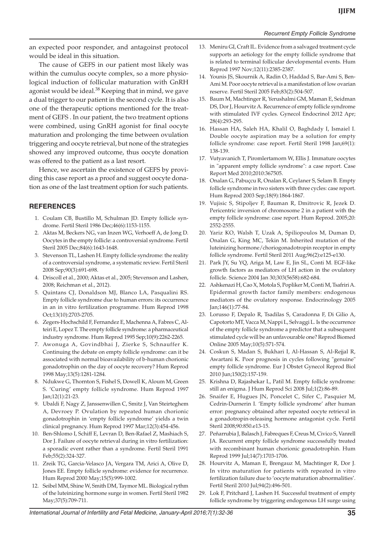#### *Recurrent Empty Follicle Syndrome*

an expected poor responder, and antagoinst protocol would be ideal in this situation.

The cause of GEFS in our patient most likely was within the cumulus oocyte complex, so a more physiological induction of follicular maturation with GnRH agonist would be ideal. $38$  Keeping that in mind, we gave a dual trigger to our patient in the second cycle. It is also one of the therapeutic options mentioned for the treatment of GEFS . In our patient, the two treatment options were combined, using GnRH agonist for final oocyte maturation and prolonging the time between ovulation triggering and oocyte retrieval, but none of the strategies showed any improved outcome, thus oocyte donation was offered to the patient as a last resort.

Hence, we ascertain the existence of GEFS by providing this case report as a proof and suggest oocyte donation as one of the last treatment option for such patients.

## **REFERENCES**

- 1. Coulam CB, Bustillo M, Schulman JD. Empty follicle syndrome. Fertil Steril 1986 Dec;46(6):1153-1155.
- 2. Aktas M, Beckers NG, van Inzen WG, Verhoeff A, de Jong D. Oocytes in the empty follicle: a controversial syndrome. Fertil Steril 2005 Dec;84(6):1643-1648.
- 3. Stevenson TL, Lashen H. Empty follicle syndrome: the reality of a controversial syndrome, a systematic review. Fertil Steril 2008 Sep;90(3):691-698.
- 4. Driscoll et al., 2000; Aktas et al., 2005; Stevenson and Lashen, 2008; Reichman et al., 2012).
- 5. Quintans CJ, Donaldson MJ, Blanco LA, Pasqualini RS. Empty follicle syndrome due to human errors: its occurrence in an in vitro fertilization programme. Hum Reprod 1998 Oct;13(10):2703-2705.
- 6. Zegers-Hochschild F, Fernandez E, Machenna A, Fabres C, Alteiri E, Lopez T. The empty follicle syndrome: a pharmaceutical industry syndrome. Hum Reprod 1995 Sep;10(9):2262-2265.
- 7. Awonuga A, Govindbhai J, Zierke S, Schnauffer K. Continuing the debate on empty follicle syndrome: can it be associated with normal bioavailability of b-human chorionic gonadotrophin on the day of oocyte recovery? Hum Reprod 1998 May;13(5):1281-1284.
- 8. Ndukwe G, Thornton S, Fishel S, Dowell K, Aloum M, Green S. 'Curing' empty follicle syndrome. Hum Reprod 1997 Jan;12(1):21-23.
- 9. Ubaldi F, Nagy Z, Janssenwillen C, Smitz J, Van Steirteghem A, Devroey P. Ovulation by repeated human chorionic gonadotrophin in 'empty follicle syndrome' yields a twin clinical pregnancy. Hum Reprod 1997 Mar;12(3):454-456.
- 10. Ben-Shlomo I, Schiff E, Levran D, Ben-Rafael Z, Mashiach S, Dor J. Failure of oocyte retrieval during in vitro fertilization: a sporadic event rather than a syndrome. Fertil Steril 1991 Feb;55(2):324-327.
- 11. Zreik TG, Garcia-Velasco JA, Vergara TM, Arici A, Olive D, Jones EE. Empty follicle syndrome: evidence for recurrence. Hum Reprod 2000 May;15(5):999-1002.
- 12. Seibel MM, Shine W, Smith DM, Taymor ML. Biological rythm of the luteinizing hormone surge in women. Fertil Steril 1982 May;37(5):709-711.
- 13. Meniru GI, Craft IL. Evidence from a salvaged treatment cycle supports an aetiology for the empty follicle syndrome that is related to terminal follicular developmental events. Hum Reprod 1997 Nov;12(11):2385-2387.
- 14. Younis JS, Skournik A, Radin O, Haddad S, Bar-Ami S, Ben-Ami M. Poor oocyte retrieval is a manifestation of low ovarian reserve. Fertil Steril 2005 Feb;83(2):504-507.
- 15. Baum M, Machtinger R, Yerushalmi GM, Maman E, Seidman DS, Dor J, Hourvitz A. Recurrence of empty follicle syndrome with stimulated IVF cycles. Gynecol Endocrinol 2012 Apr; 28(4):293-295.
- 16. Hassan HA, Saleh HA, Khalil O, Baghdady I, Ismaiel I. Double oocyte aspiration may be a solution for empty follicle syndrome: case report. Fertil Steril 1998 Jan;69(1): 138-139.
- 17. Vutyavanich T, Piromlertamorn W, Ellis J. Immature oocytes in "apparent empty follicle syndrome": a case report. Case Report Med 2010;2010:367505.
- 18. Onalan G, Pabuçcu R, Onalan R, Ceylaner S, Selam B. Empty follicle syndrome in two sisters with three cycles: case report. Hum Reprod 2003 Sep;18(9):1864-1867.
- 19. Vujisic S, Stipoljev F, Bauman R, Dmitrovic R, Jezek D. Pericentric inversion of chromosome 2 in a patient with the empty follicle syndrome: case report. Hum Reprod. 2005;20: 2552-2555.
- 20. Yariz KO, Walsh T, Uzak A, Spiliopoulos M, Duman D, Onalan G, King MC, Tekin M. Inherited mutation of the luteinizing hormone/choriogonadotropin receptor in empty follicle syndrome. Fertil Steril 2011 Aug;96(2):e125-e130.
- 21. Park JY, Su YQ, Ariga M, Law E, Jin SL, Conti M. EGF-like growth factors as mediators of LH action in the ovulatory follicle. Science 2004 Jan 30;303(5658):682-684.
- 22. Ashkenazi H, Cao X, Motola S, Popliker M, Conti M, Tsafriri A. Epidermal growth factor family members: endogenous mediators of the ovulatory response. Endocrinology 2005 Jan;146(1):77-84.
- 23. Lorusso F, Depalo R, Tsadilas S, Caradonna F, Di Gilio A, Capotorto MT, Vacca M, Nappi L, Selvaggi L. Is the occurrence of the empty follicle syndrome a predictor that a subsequent stimulated cycle will be an unfavourable one? Reprod Biomed Online 2005 May;10(5):571-574.
- 24. Coskun S, Madan S, Bukhari I, Al-Hassan S, Al-Rejjal R, Awartani K. Poor prognosis in cycles following "genuine" empty follicle syndrome. Eur J Obstet Gynecol Reprod Biol 2010 Jun;150(2):157-159.
- 25. Krishna D, Rajashekar L, Patil M. Empty follicle syndrome: still an enigma. J Hum Reprod Sci 2008 Jul;1(2):86-89.
- 26. Snaifer E, Hugues JN, Poncelet C, Sifer C, Pasquier M, Cedrin-Durnerin I. 'Empty follicle syndrome' after human error: pregnancy obtained after repeated oocyte retrieval in a gonadotropin-releasing hormone antagonist cycle. Fertil Steril 2008;90:850.e13-15.
- 27. Peñarrubia J, Balasch J, Fabreques F, Creus M, Civico S, Vanrell JA. Recurrent empty follicle syndrome successfully treated with recombinant human chorionic gonadotrophin. Hum Reprod 1999 Jul;14(7):1703-1706.
- 28. Hourvitz A, Maman E, Brengauz M, Machtinger R, Dor J. In vitro maturation for patients with repeated in vitro fertilization failure due to 'oocyte maturation abnormalities'. Fertil Steril 2010 Jul;94(2):496-501.
- 29. Lok F, Pritchard J, Lashen H. Successful treatment of empty follicle syndrome by triggering endogenous LH surge using